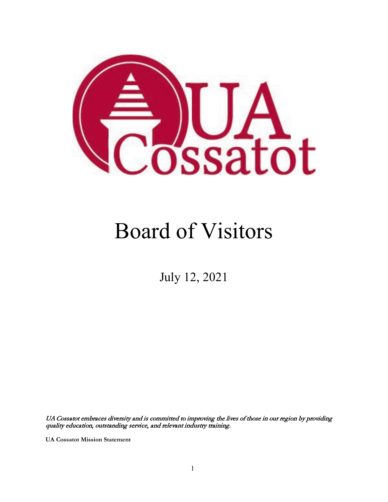

# Board of Visitors

July 12, 2021

UA Cossatot embraces diversity and is committed to improving the lives of those in our region by providing quality education, outstanding service, and relevant industry training.

**UA Cossatot Mission Statement**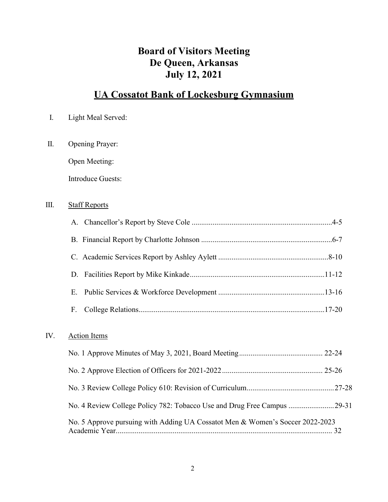### **Board of Visitors Meeting De Queen, Arkansas July 12, 2021**

### **UA Cossatot Bank of Lockesburg Gymnasium**

| I. | Light Meal Served: |
|----|--------------------|
|----|--------------------|

II. Opening Prayer:

Open Meeting:

Introduce Guests:

#### III. Staff Reports

#### IV. Action Items

| No. 4 Review College Policy 782: Tobacco Use and Drug Free Campus 29-31       |  |
|-------------------------------------------------------------------------------|--|
| No. 5 Approve pursuing with Adding UA Cossatot Men & Women's Soccer 2022-2023 |  |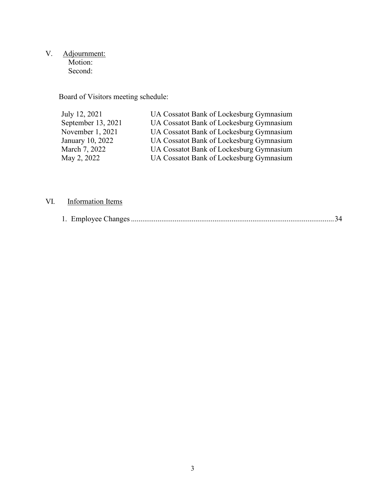V. Adjournment: Motion: Second:

Board of Visitors meeting schedule:

| July 12, 2021      | UA Cossatot Bank of Lockesburg Gymnasium |
|--------------------|------------------------------------------|
| September 13, 2021 | UA Cossatot Bank of Lockesburg Gymnasium |
| November 1, 2021   | UA Cossatot Bank of Lockesburg Gymnasium |
| January 10, 2022   | UA Cossatot Bank of Lockesburg Gymnasium |
| March 7, 2022      | UA Cossatot Bank of Lockesburg Gymnasium |
| May 2, 2022        | UA Cossatot Bank of Lockesburg Gymnasium |
|                    |                                          |

#### VI. Information Items

|--|--|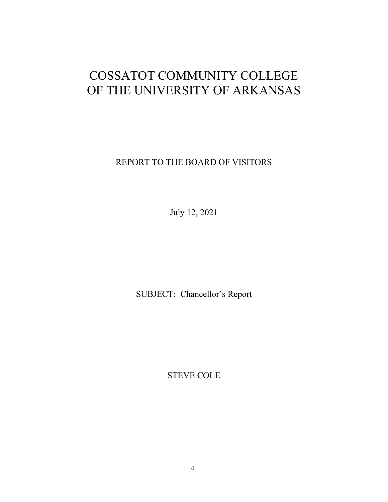REPORT TO THE BOARD OF VISITORS

July 12, 2021

SUBJECT: Chancellor's Report

STEVE COLE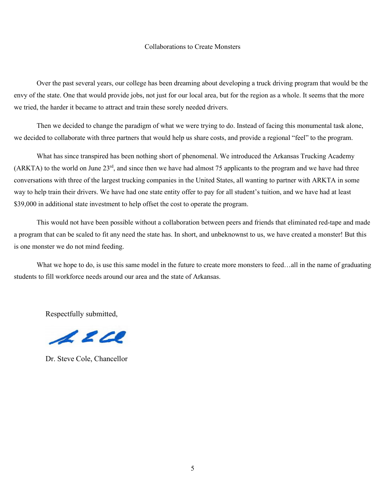#### Collaborations to Create Monsters

Over the past several years, our college has been dreaming about developing a truck driving program that would be the envy of the state. One that would provide jobs, not just for our local area, but for the region as a whole. It seems that the more we tried, the harder it became to attract and train these sorely needed drivers.

Then we decided to change the paradigm of what we were trying to do. Instead of facing this monumental task alone, we decided to collaborate with three partners that would help us share costs, and provide a regional "feel" to the program.

What has since transpired has been nothing short of phenomenal. We introduced the Arkansas Trucking Academy  $(ARKTA)$  to the world on June  $23<sup>rd</sup>$ , and since then we have had almost 75 applicants to the program and we have had three conversations with three of the largest trucking companies in the United States, all wanting to partner with ARKTA in some way to help train their drivers. We have had one state entity offer to pay for all student's tuition, and we have had at least \$39,000 in additional state investment to help offset the cost to operate the program.

This would not have been possible without a collaboration between peers and friends that eliminated red-tape and made a program that can be scaled to fit any need the state has. In short, and unbeknownst to us, we have created a monster! But this is one monster we do not mind feeding.

What we hope to do, is use this same model in the future to create more monsters to feed...all in the name of graduating students to fill workforce needs around our area and the state of Arkansas.

Respectfully submitted,

 $122$ 

Dr. Steve Cole, Chancellor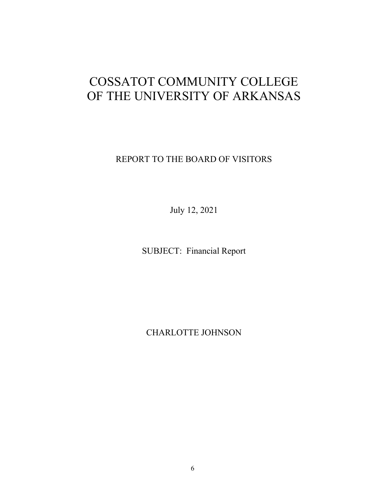REPORT TO THE BOARD OF VISITORS

July 12, 2021

SUBJECT: Financial Report

CHARLOTTE JOHNSON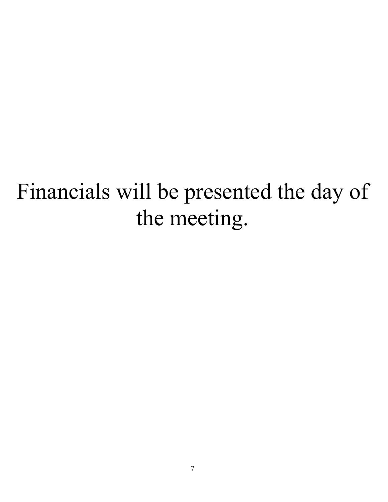Financials will be presented the day of the meeting.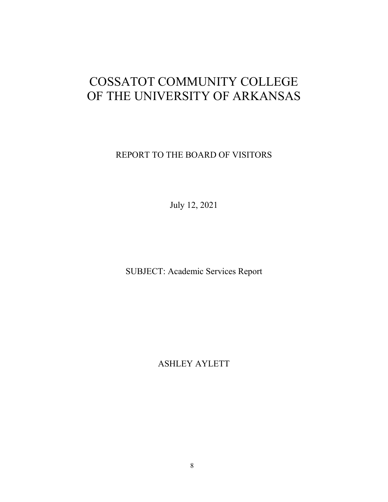REPORT TO THE BOARD OF VISITORS

July 12, 2021

SUBJECT: Academic Services Report

ASHLEY AYLETT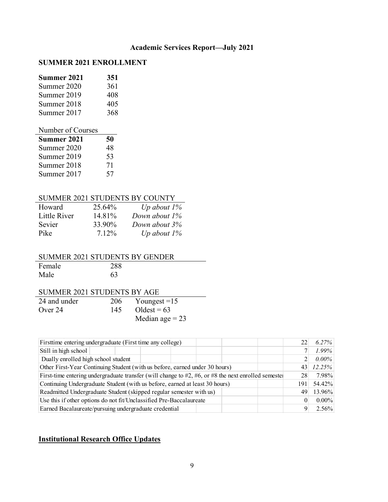#### **Academic Services Report—July 2021**

#### **SUMMER 2021 ENROLLMENT**

| Summer 2021 | 351 |
|-------------|-----|
| Summer 2020 | 361 |
| Summer 2019 | 408 |
| Summer 2018 | 405 |
| Summer 2017 | 368 |

#### Number of Courses

| Summer 2021 | 50 |
|-------------|----|
| Summer 2020 | 48 |
| Summer 2019 | 53 |
| Summer 2018 | 71 |
| Summer 2017 | 57 |

### SUMMER 2021 STUDENTS BY COUNTY

| Howard       | 25.64% | Up about $1\%$ |
|--------------|--------|----------------|
| Little River | 14.81% | Down about 1%  |
| Sevier       | 33.90% | Down about 3%  |
| Pike         | 7.12%  | Up about $1\%$ |

|        | SUMMER 2021 STUDENTS BY GENDER |
|--------|--------------------------------|
| Female | 288                            |
| Male   | 63                             |

#### SUMMER 2021 STUDENTS BY AGE

| 24 and under | 206 | Youngest $=15$    |
|--------------|-----|-------------------|
| Over 24      | 145 | Oldest = $63$     |
|              |     | Median age $= 23$ |

| Firsttime entering undergraduate (First time any college)                                                      |     | 6.27%    |
|----------------------------------------------------------------------------------------------------------------|-----|----------|
| Still in high school                                                                                           |     | $1.99\%$ |
| Dually enrolled high school student                                                                            |     | $0.00\%$ |
| Other First-Year Continuing Student (with us before, earned under 30 hours)                                    | 43  | 12.25%   |
| First-time entering undergraduate transfer (will change to $\#2$ , $\#6$ , or $\#8$ the next enrolled semester | 28  | 7.98%    |
| Continuing Undergraduate Student (with us before, earned at least 30 hours)                                    | 191 | 54.42%   |
| Readmitted Undergraduate Student (skipped regular semester with us)                                            | 49  | 13.96%   |
| Use this if other options do not fit/Unclassified Pre-Baccalaureate                                            |     | $0.00\%$ |
| Earned Bacalaureate/pursuing undergraduate credential                                                          |     | $2.56\%$ |

#### **Institutional Research Office Updates**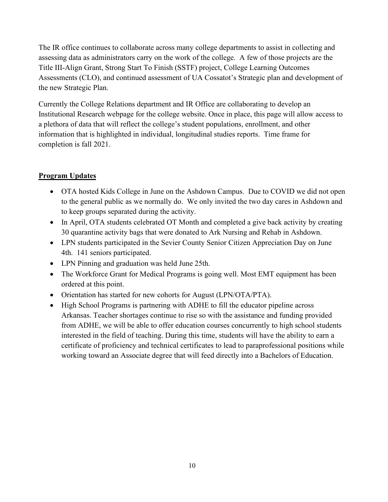The IR office continues to collaborate across many college departments to assist in collecting and assessing data as administrators carry on the work of the college. A few of those projects are the Title III-Align Grant, Strong Start To Finish (SSTF) project, College Learning Outcomes Assessments (CLO), and continued assessment of UA Cossatot's Strategic plan and development of the new Strategic Plan.

Currently the College Relations department and IR Office are collaborating to develop an Institutional Research webpage for the college website. Once in place, this page will allow access to a plethora of data that will reflect the college's student populations, enrollment, and other information that is highlighted in individual, longitudinal studies reports. Time frame for completion is fall 2021.

#### **Program Updates**

- OTA hosted Kids College in June on the Ashdown Campus. Due to COVID we did not open to the general public as we normally do. We only invited the two day cares in Ashdown and to keep groups separated during the activity.
- In April, OTA students celebrated OT Month and completed a give back activity by creating 30 quarantine activity bags that were donated to Ark Nursing and Rehab in Ashdown.
- LPN students participated in the Sevier County Senior Citizen Appreciation Day on June 4th. 141 seniors participated.
- LPN Pinning and graduation was held June 25th.
- The Workforce Grant for Medical Programs is going well. Most EMT equipment has been ordered at this point.
- Orientation has started for new cohorts for August (LPN/OTA/PTA).
- High School Programs is partnering with ADHE to fill the educator pipeline across Arkansas. Teacher shortages continue to rise so with the assistance and funding provided from ADHE, we will be able to offer education courses concurrently to high school students interested in the field of teaching. During this time, students will have the ability to earn a certificate of proficiency and technical certificates to lead to paraprofessional positions while working toward an Associate degree that will feed directly into a Bachelors of Education.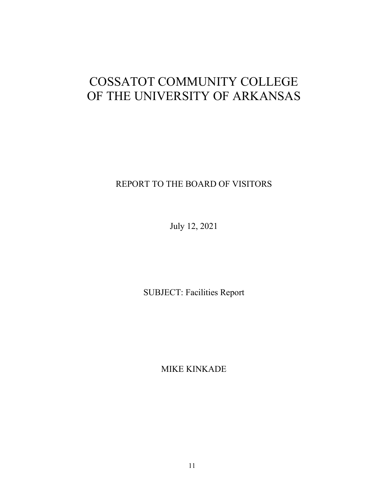REPORT TO THE BOARD OF VISITORS

July 12, 2021

SUBJECT: Facilities Report

MIKE KINKADE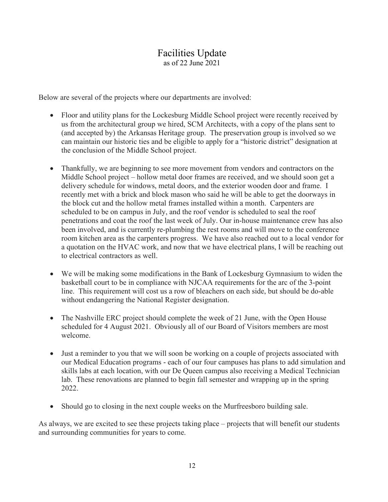#### Facilities Update as of 22 June 2021

Below are several of the projects where our departments are involved:

- Floor and utility plans for the Lockesburg Middle School project were recently received by us from the architectural group we hired, SCM Architects, with a copy of the plans sent to (and accepted by) the Arkansas Heritage group. The preservation group is involved so we can maintain our historic ties and be eligible to apply for a "historic district" designation at the conclusion of the Middle School project.
- Thankfully, we are beginning to see more movement from vendors and contractors on the Middle School project – hollow metal door frames are received, and we should soon get a delivery schedule for windows, metal doors, and the exterior wooden door and frame. I recently met with a brick and block mason who said he will be able to get the doorways in the block cut and the hollow metal frames installed within a month. Carpenters are scheduled to be on campus in July, and the roof vendor is scheduled to seal the roof penetrations and coat the roof the last week of July. Our in-house maintenance crew has also been involved, and is currently re-plumbing the rest rooms and will move to the conference room kitchen area as the carpenters progress. We have also reached out to a local vendor for a quotation on the HVAC work, and now that we have electrical plans, I will be reaching out to electrical contractors as well.
- We will be making some modifications in the Bank of Lockesburg Gymnasium to widen the basketball court to be in compliance with NJCAA requirements for the arc of the 3-point line. This requirement will cost us a row of bleachers on each side, but should be do-able without endangering the National Register designation.
- The Nashville ERC project should complete the week of 21 June, with the Open House scheduled for 4 August 2021. Obviously all of our Board of Visitors members are most welcome.
- Just a reminder to you that we will soon be working on a couple of projects associated with our Medical Education programs - each of our four campuses has plans to add simulation and skills labs at each location, with our De Queen campus also receiving a Medical Technician lab. These renovations are planned to begin fall semester and wrapping up in the spring 2022.
- Should go to closing in the next couple weeks on the Murfreesboro building sale.

As always, we are excited to see these projects taking place – projects that will benefit our students and surrounding communities for years to come.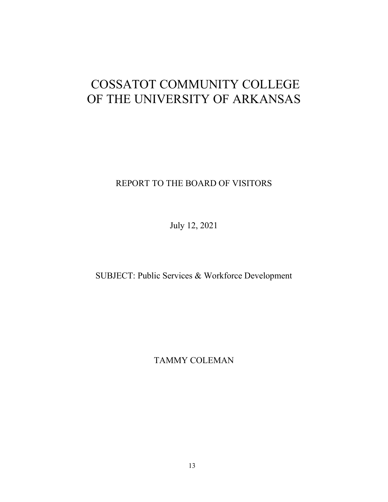REPORT TO THE BOARD OF VISITORS

July 12, 2021

SUBJECT: Public Services & Workforce Development

TAMMY COLEMAN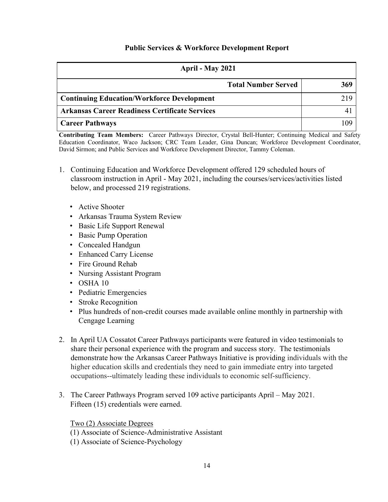#### **Public Services & Workforce Development Report**

| <b>April - May 2021</b>                               |     |  |
|-------------------------------------------------------|-----|--|
| <b>Total Number Served</b>                            | 369 |  |
| <b>Continuing Education/Workforce Development</b>     |     |  |
| <b>Arkansas Career Readiness Certificate Services</b> |     |  |
| <b>Career Pathways</b>                                | 109 |  |

**Contributing Team Members:** Career Pathways Director, Crystal Bell-Hunter; Continuing Medical and Safety Education Coordinator, Waco Jackson; CRC Team Leader, Gina Duncan; Workforce Development Coordinator, David Sirmon; and Public Services and Workforce Development Director, Tammy Coleman.

- 1. Continuing Education and Workforce Development offered 129 scheduled hours of classroom instruction in April - May 2021, including the courses/services/activities listed below, and processed 219 registrations.
	- Active Shooter
	- Arkansas Trauma System Review
	- Basic Life Support Renewal
	- Basic Pump Operation
	- Concealed Handgun
	- Enhanced Carry License
	- Fire Ground Rehab
	- Nursing Assistant Program
	- OSHA 10
	- Pediatric Emergencies
	- Stroke Recognition
	- Plus hundreds of non-credit courses made available online monthly in partnership with Cengage Learning
- 2. In April UA Cossatot Career Pathways participants were featured in video testimonials to share their personal experience with the program and success story. The testimonials demonstrate how the Arkansas Career Pathways Initiative is providing individuals with the higher education skills and credentials they need to gain immediate entry into targeted occupations--ultimately leading these individuals to economic self-sufficiency.
- 3. The Career Pathways Program served 109 active participants April May 2021. Fifteen (15) credentials were earned.

Two (2) Associate Degrees

- (1) Associate of Science-Administrative Assistant
- (1) Associate of Science-Psychology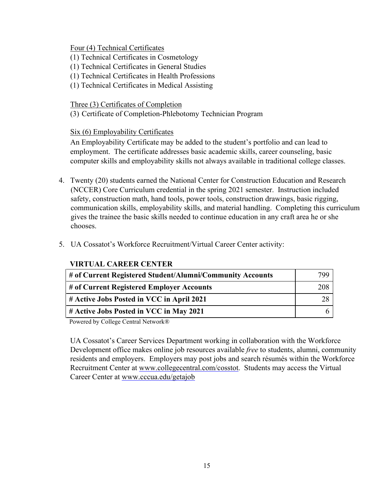Four (4) Technical Certificates

- (1) Technical Certificates in Cosmetology
- (1) Technical Certificates in General Studies
- (1) Technical Certificates in Health Professions
- (1) Technical Certificates in Medical Assisting

#### Three (3) Certificates of Completion

(3) Certificate of Completion-Phlebotomy Technician Program

#### Six (6) Employability Certificates

An Employability Certificate may be added to the student's portfolio and can lead to employment. The certificate addresses basic academic skills, career counseling, basic computer skills and employability skills not always available in traditional college classes.

- 4. Twenty (20) students earned the National Center for Construction Education and Research (NCCER) Core Curriculum credential in the spring 2021 semester. Instruction included safety, construction math, hand tools, power tools, construction drawings, basic rigging, communication skills, employability skills, and material handling. Completing this curriculum gives the trainee the basic skills needed to continue education in any craft area he or she chooses.
- 5. UA Cossatot's Workforce Recruitment/Virtual Career Center activity:

| # of Current Registered Student/Alumni/Community Accounts | 799 |
|-----------------------------------------------------------|-----|
| # of Current Registered Employer Accounts                 | 208 |
| # Active Jobs Posted in VCC in April 2021                 |     |
| # Active Jobs Posted in VCC in May 2021                   |     |

#### **VIRTUAL CAREER CENTER**

Powered by College Central Network®

UA Cossatot's Career Services Department working in collaboration with the Workforce Development office makes online job resources available *free* to students, alumni, community residents and employers. Employers may post jobs and search résumés within the Workforce Recruitment Center at [www.collegecentral.com/cosstot.](http://www.collegecentral.com/cosstot) Students may access the Virtual Career Center at [www.cccua.edu/getajob](http://www.cccua.edu/getajob)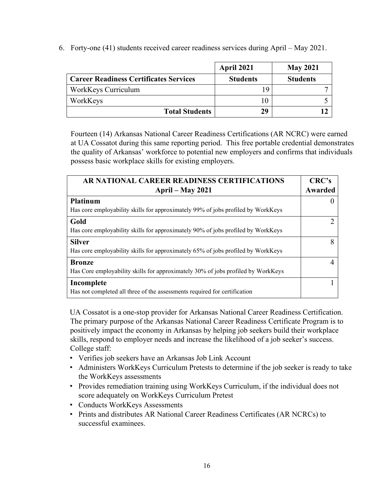6. Forty-one (41) students received career readiness services during April – May 2021.

|                                               | April 2021      | <b>May 2021</b> |
|-----------------------------------------------|-----------------|-----------------|
| <b>Career Readiness Certificates Services</b> | <b>Students</b> | <b>Students</b> |
| WorkKeys Curriculum                           | 19              |                 |
| WorkKeys                                      | 10              |                 |
| <b>Total Students</b>                         | 29              |                 |

Fourteen (14) Arkansas National Career Readiness Certifications (AR NCRC) were earned at UA Cossatot during this same reporting period. This free portable credential demonstrates the quality of Arkansas' workforce to potential new employers and confirms that individuals possess basic workplace skills for existing employers.

| AR NATIONAL CAREER READINESS CERTIFICATIONS                                      |         |
|----------------------------------------------------------------------------------|---------|
| <b>April – May 2021</b>                                                          | Awarded |
| <b>Platinum</b>                                                                  |         |
| Has core employability skills for approximately 99% of jobs profiled by WorkKeys |         |
| Gold                                                                             |         |
| Has core employability skills for approximately 90% of jobs profiled by WorkKeys |         |
| <b>Silver</b>                                                                    |         |
| Has core employability skills for approximately 65% of jobs profiled by WorkKeys |         |
| <b>Bronze</b>                                                                    |         |
| Has Core employability skills for approximately 30% of jobs profiled by WorkKeys |         |
| Incomplete                                                                       |         |
| Has not completed all three of the assessments required for certification        |         |

UA Cossatot is a one-stop provider for Arkansas National Career Readiness Certification. The primary purpose of the Arkansas National Career Readiness Certificate Program is to positively impact the economy in Arkansas by helping job seekers build their workplace skills, respond to employer needs and increase the likelihood of a job seeker's success. College staff:

- Verifies job seekers have an Arkansas Job Link Account
- Administers WorkKeys Curriculum Pretests to determine if the job seeker is ready to take the WorkKeys assessments
- Provides remediation training using WorkKeys Curriculum, if the individual does not score adequately on WorkKeys Curriculum Pretest
- Conducts WorkKeys Assessments
- Prints and distributes AR National Career Readiness Certificates (AR NCRCs) to successful examinees.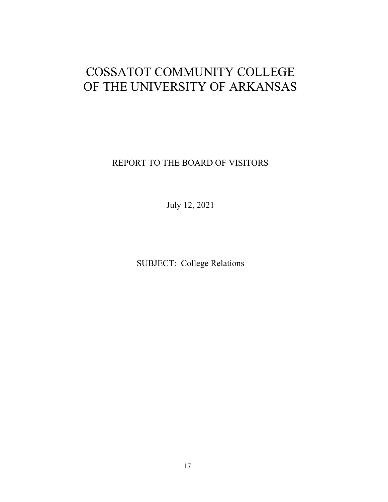REPORT TO THE BOARD OF VISITORS

July 12, 2021

SUBJECT: College Relations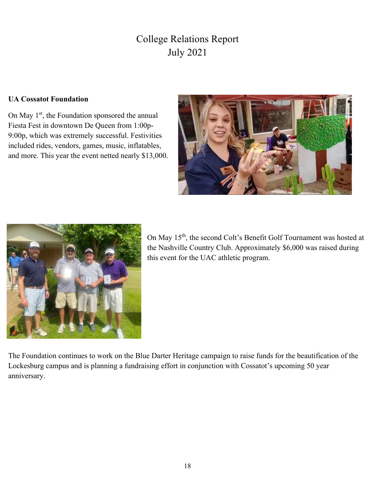### College Relations Report July 2021

#### **UA Cossatot Foundation**

On May  $1<sup>st</sup>$ , the Foundation sponsored the annual Fiesta Fest in downtown De Queen from 1:00p-9:00p, which was extremely successful. Festivities included rides, vendors, games, music, inflatables, and more. This year the event netted nearly \$13,000.





On May 15th, the second Colt's Benefit Golf Tournament was hosted at the Nashville Country Club. Approximately \$6,000 was raised during this event for the UAC athletic program.

The Foundation continues to work on the Blue Darter Heritage campaign to raise funds for the beautification of the Lockesburg campus and is planning a fundraising effort in conjunction with Cossatot's upcoming 50 year anniversary.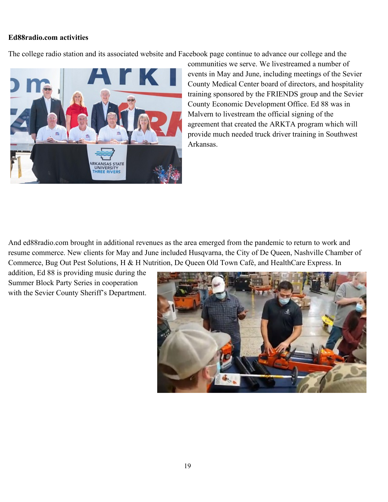#### **Ed88radio.com activities**

The college radio station and its associated website and Facebook page continue to advance our college and the



communities we serve. We livestreamed a number of events in May and June, including meetings of the Sevier County Medical Center board of directors, and hospitality training sponsored by the FRIENDS group and the Sevier County Economic Development Office. Ed 88 was in Malvern to livestream the official signing of the agreement that created the ARKTA program which will provide much needed truck driver training in Southwest Arkansas.

And ed88radio.com brought in additional revenues as the area emerged from the pandemic to return to work and resume commerce. New clients for May and June included Husqvarna, the City of De Queen, Nashville Chamber of Commerce, Bug Out Pest Solutions, H & H Nutrition, De Queen Old Town Café, and HealthCare Express. In

addition, Ed 88 is providing music during the Summer Block Party Series in cooperation with the Sevier County Sheriff's Department.

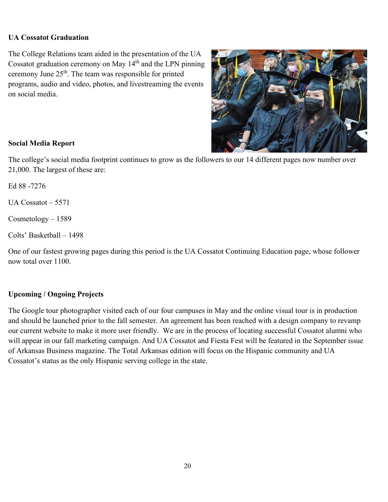#### **UA Cossatot Graduation**

The College Relations team aided in the presentation of the UA Cossatot graduation ceremony on May  $14<sup>th</sup>$  and the LPN pinning ceremony June 25th. The team was responsible for printed programs, audio and video, photos, and livestreaming the events on social media.



#### **Social Media Report**

The college's social media footprint continues to grow as the followers to our 14 different pages now number over 21,000. The largest of these are:

Ed 88 -7276

UA Cossatot – 5571

Cosmetology – 1589

Colts' Basketball – 1498

One of our fastest growing pages during this period is the UA Cossatot Continuing Education page, whose follower now total over 1100.

#### **Upcoming / Ongoing Projects**

The Google tour photographer visited each of our four campuses in May and the online visual tour is in production and should be launched prior to the fall semester. An agreement has been reached with a design company to revamp our current website to make it more user friendly. We are in the process of locating successful Cossatot alumni who will appear in our fall marketing campaign. And UA Cossatot and Fiesta Fest will be featured in the September issue of Arkansas Business magazine. The Total Arkansas edition will focus on the Hispanic community and UA Cossatot's status as the only Hispanic serving college in the state.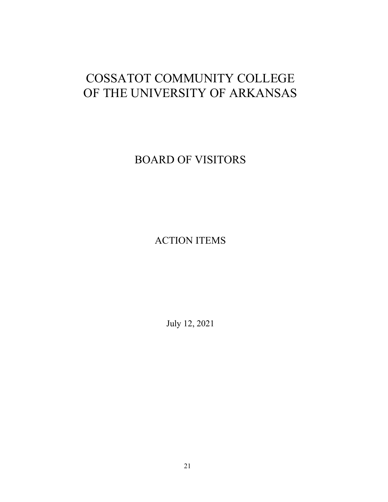BOARD OF VISITORS

ACTION ITEMS

July 12, 2021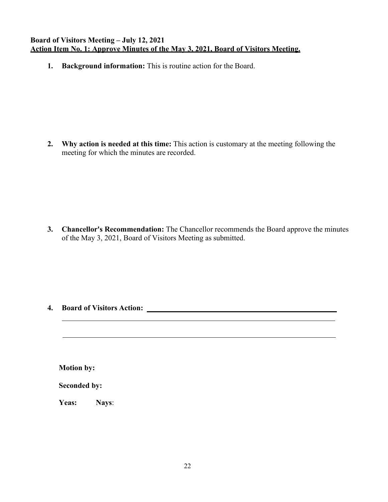#### **Board of Visitors Meeting – July 12, 2021 Action Item No. 1: Approve Minutes of the May 3, 2021, Board of Visitors Meeting.**

**1. Background information:** This is routine action for the Board.

**2. Why action is needed at this time:** This action is customary at the meeting following the meeting for which the minutes are recorded.

**3. Chancellor's Recommendation:** The Chancellor recommends the Board approve the minutes of the May 3, 2021, Board of Visitors Meeting as submitted.

**4. Board of Visitors Action:** 

**Motion by:**

**Seconded by:**

**Yeas: Nays**: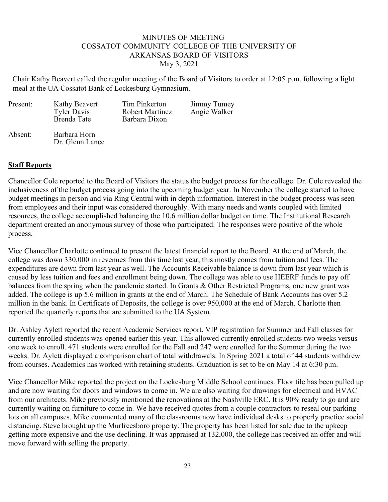#### MINUTES OF MEETING COSSATOT COMMUNITY COLLEGE OF THE UNIVERSITY OF ARKANSAS BOARD OF VISITORS May 3, 2021

Chair Kathy Beavert called the regular meeting of the Board of Visitors to order at 12:05 p.m. following a light meal at the UA Cossatot Bank of Lockesburg Gymnasium.

| Present: | Kathy Beavert<br><b>Tyler Davis</b><br>Brenda Tate | Tim Pinkerton<br><b>Robert Martinez</b><br>Barbara Dixon | Jimmy Tumey<br>Angie Walker |
|----------|----------------------------------------------------|----------------------------------------------------------|-----------------------------|
| Absent:  | Barbara Horn<br>Dr. Glenn Lance                    |                                                          |                             |

#### **Staff Reports**

Chancellor Cole reported to the Board of Visitors the status the budget process for the college. Dr. Cole revealed the inclusiveness of the budget process going into the upcoming budget year. In November the college started to have budget meetings in person and via Ring Central with in depth information. Interest in the budget process was seen from employees and their input was considered thoroughly. With many needs and wants coupled with limited resources, the college accomplished balancing the 10.6 million dollar budget on time. The Institutional Research department created an anonymous survey of those who participated. The responses were positive of the whole process.

Vice Chancellor Charlotte continued to present the latest financial report to the Board. At the end of March, the college was down 330,000 in revenues from this time last year, this mostly comes from tuition and fees. The expenditures are down from last year as well. The Accounts Receivable balance is down from last year which is caused by less tuition and fees and enrollment being down. The college was able to use HEERF funds to pay off balances from the spring when the pandemic started. In Grants & Other Restricted Programs, one new grant was added. The college is up 5.6 million in grants at the end of March. The Schedule of Bank Accounts has over 5.2 million in the bank. In Certificate of Deposits, the college is over 950,000 at the end of March. Charlotte then reported the quarterly reports that are submitted to the UA System.

Dr. Ashley Aylett reported the recent Academic Services report. VIP registration for Summer and Fall classes for currently enrolled students was opened earlier this year. This allowed currently enrolled students two weeks versus one week to enroll. 471 students were enrolled for the Fall and 247 were enrolled for the Summer during the two weeks. Dr. Aylett displayed a comparison chart of total withdrawals. In Spring 2021 a total of 44 students withdrew from courses. Academics has worked with retaining students. Graduation is set to be on May 14 at 6:30 p.m.

Vice Chancellor Mike reported the project on the Lockesburg Middle School continues. Floor tile has been pulled up and are now waiting for doors and windows to come in. We are also waiting for drawings for electrical and HVAC from our architects. Mike previously mentioned the renovations at the Nashville ERC. It is 90% ready to go and are currently waiting on furniture to come in. We have received quotes from a couple contractors to reseal our parking lots on all campuses. Mike commented many of the classrooms now have individual desks to properly practice social distancing. Steve brought up the Murfreesboro property. The property has been listed for sale due to the upkeep getting more expensive and the use declining. It was appraised at 132,000, the college has received an offer and will move forward with selling the property.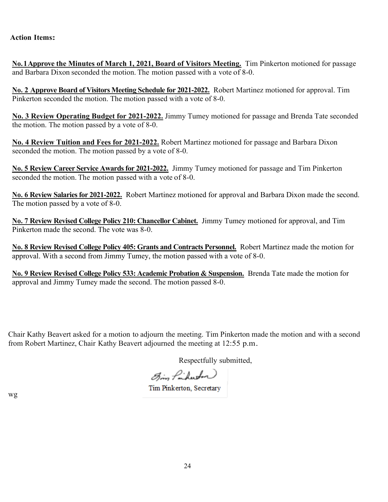#### **Action Items:**

**No.1Approve the Minutes of March 1, 2021, Board of Visitors Meeting.** Tim Pinkerton motioned for passage and Barbara Dixon seconded the motion. The motion passed with a vote of 8-0.

**No. 2 Approve Board of Visitors Meeting Schedule for 2021-2022.** Robert Martinez motioned for approval. Tim Pinkerton seconded the motion. The motion passed with a vote of 8-0.

**No. 3 Review Operating Budget for 2021-2022.** Jimmy Tumey motioned for passage and Brenda Tate seconded the motion. The motion passed by a vote of 8-0.

**No. 4 Review Tuition and Fees for 2021-2022.** Robert Martinez motioned for passage and Barbara Dixon seconded the motion. The motion passed by a vote of 8-0.

**No. 5 Review Career Service Awards for 2021-2022.** Jimmy Tumey motioned for passage and Tim Pinkerton seconded the motion. The motion passed with a vote of 8-0.

**No. 6 Review Salaries for 2021-2022.** Robert Martinez motioned for approval and Barbara Dixon made the second. The motion passed by a vote of 8-0.

**No. 7 Review Revised College Policy 210: Chancellor Cabinet.** Jimmy Tumey motioned for approval, and Tim Pinkerton made the second. The vote was 8-0.

**No. 8 Review Revised College Policy 405: Grants and Contracts Personnel.** Robert Martinez made the motion for approval. With a second from Jimmy Tumey, the motion passed with a vote of 8-0.

**No. 9 Review Revised College Policy 533: Academic Probation & Suspension.** Brenda Tate made the motion for approval and Jimmy Tumey made the second. The motion passed 8-0.

Chair Kathy Beavert asked for a motion to adjourn the meeting. Tim Pinkerton made the motion and with a second from Robert Martinez, Chair Kathy Beavert adjourned the meeting at 12:55 p.m.

Respectfully submitted,

Sin Prihadon

Tim Pinkerton, Secretary

wg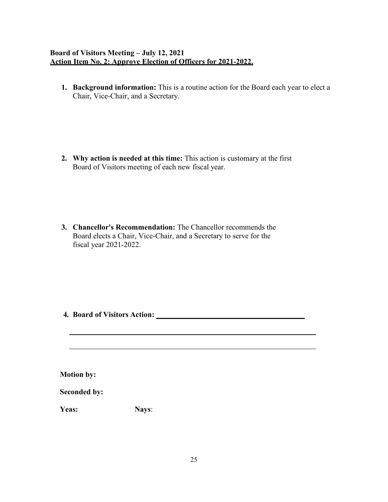#### **Board of Visitors Meeting – July 12, 2021 Action Item No. 2: Approve Election of Officers for 2021-2022.**

**1. Background information:** This is a routine action for the Board each year to elect a Chair, Vice-Chair, and a Secretary.

**2. Why action is needed at this time:** This action is customary at the first Board of Visitors meeting of each new fiscal year.

**3. Chancellor's Recommendation:** The Chancellor recommends the Board elects a Chair, Vice-Chair, and a Secretary to serve for the fiscal year 2021-2022.

**4. Board of Visitors Action:**

**Motion by:**

**Seconded by:**

**Yeas: Nays**: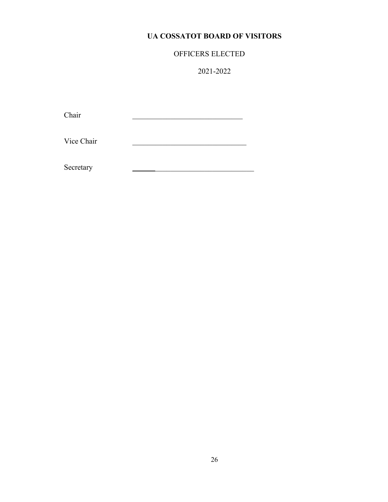#### **UA COSSATOT BOARD OF VISITORS**

#### OFFICERS ELECTED

2021-2022

Chair \_\_\_\_\_\_\_\_\_\_\_\_\_\_\_\_\_\_\_\_\_\_\_\_\_\_\_\_\_ Vice Chair \_\_\_\_\_\_\_\_\_\_\_\_\_\_\_\_\_\_\_\_\_\_\_\_\_\_\_\_\_\_

Secretary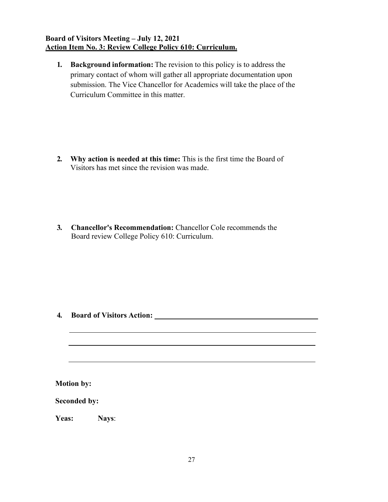#### **Board of Visitors Meeting – July 12, 2021 Action Item No. 3: Review College Policy 610: Curriculum.**

**1. Background information:** The revision to this policy is to address the primary contact of whom will gather all appropriate documentation upon submission. The Vice Chancellor for Academics will take the place of the Curriculum Committee in this matter.

**2. Why action is needed at this time:** This is the first time the Board of Visitors has met since the revision was made.

**3. Chancellor's Recommendation:** Chancellor Cole recommends the Board review College Policy 610: Curriculum.

**4. Board of Visitors Action:**

**Motion by:**

**Seconded by:**

**Yeas: Nays**: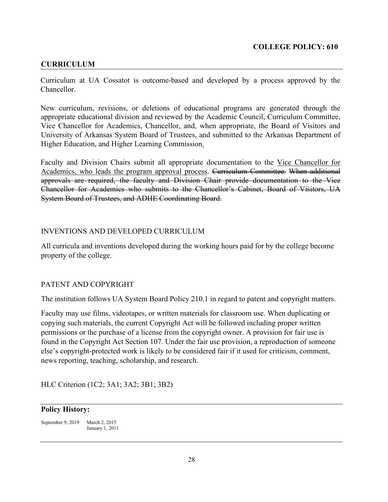#### **CURRICULUM**

Curriculum at UA Cossatot is outcome-based and developed by a process approved by the Chancellor.

New curriculum, revisions, or deletions of educational programs are generated through the appropriate educational division and reviewed by the Academic Council, Curriculum Committee, Vice Chancellor for Academics, Chancellor, and, when appropriate, the Board of Visitors and University of Arkansas System Board of Trustees, and submitted to the Arkansas Department of Higher Education, and Higher Learning Commission.

Faculty and Division Chairs submit all appropriate documentation to the Vice Chancellor for Academics, who leads the program approval process. Curriculum Committee. When additional approvals are required, the faculty and Division Chair provide documentation to the Vice Chancellor for Academics who submits to the Chancellor's Cabinet, Board of Visitors, UA System Board of Trustees, and ADHE Coordinating Board.

#### INVENTIONS AND DEVELOPED CURRICULUM

All curricula and inventions developed during the working hours paid for by the college become property of the college.

#### PATENT AND COPYRIGHT

The institution follows UA System Board Policy 210.1 in regard to patent and copyright matters.

Faculty may use films, videotapes, or written materials for classroom use. When duplicating or copying such materials, the current Copyright Act will be followed including proper written permissions or the purchase of a license from the copyright owner. A provision for fair use is found in the Copyright Act Section 107. Under the fair use provision, a reproduction of someone else's copyright-protected work is likely to be considered fair if it used for criticism, comment, news reporting, teaching, scholarship, and research.

HLC Criterion (1C2; 3A1; 3A2; 3B1; 3B2)

#### **Policy History:**

September 9, 2019 March 2, 2015 January 1, 2011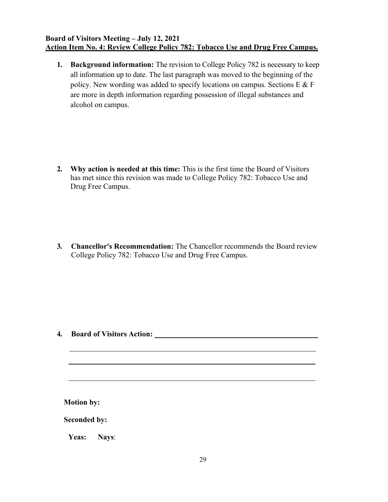#### **Board of Visitors Meeting – July 12, 2021 Action Item No. 4: Review College Policy 782: Tobacco Use and Drug Free Campus.**

**1. Background information:** The revision to College Policy 782 is necessary to keep all information up to date. The last paragraph was moved to the beginning of the policy. New wording was added to specify locations on campus. Sections  $E \& F$ are more in depth information regarding possession of illegal substances and alcohol on campus.

**2. Why action is needed at this time:** This is the first time the Board of Visitors has met since this revision was made to College Policy 782: Tobacco Use and Drug Free Campus.

**3. Chancellor's Recommendation:** The Chancellor recommends the Board review College Policy 782: Tobacco Use and Drug Free Campus.

**4. Board of Visitors Action:**

**Motion by:**

**Seconded by:**

**Yeas: Nays**: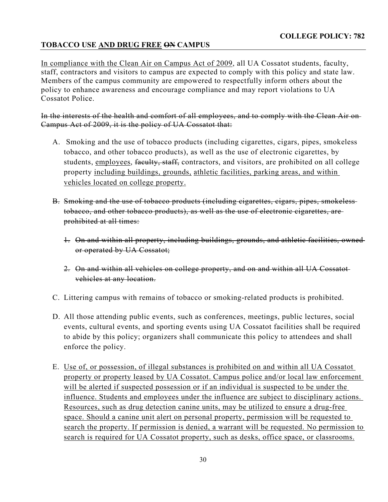#### **TOBACCO USE AND DRUG FREE ON CAMPUS**

In compliance with the Clean Air on Campus Act of 2009, all UA Cossatot students, faculty, staff, contractors and visitors to campus are expected to comply with this policy and state law. Members of the campus community are empowered to respectfully inform others about the policy to enhance awareness and encourage compliance and may report violations to UA Cossatot Police.

In the interests of the health and comfort of all employees, and to comply with the Clean Air on Campus Act of 2009, it is the policy of UA Cossatot that:

- A. Smoking and the use of tobacco products (including cigarettes, cigars, pipes, smokeless tobacco, and other tobacco products), as well as the use of electronic cigarettes, by students, employees, faculty, staff, contractors, and visitors, are prohibited on all college property including buildings, grounds, athletic facilities, parking areas, and within vehicles located on college property.
- B. Smoking and the use of tobacco products (including cigarettes, cigars, pipes, smokeless tobacco, and other tobacco products), as well as the use of electronic cigarettes, are prohibited at all times:
	- 1. On and within all property, including buildings, grounds, and athletic facilities, owned or operated by UA Cossatot;
	- 2. On and within all vehicles on college property, and on and within all UA Cossatot vehicles at any location.
- C. Littering campus with remains of tobacco or smoking-related products is prohibited.
- D. All those attending public events, such as conferences, meetings, public lectures, social events, cultural events, and sporting events using UA Cossatot facilities shall be required to abide by this policy; organizers shall communicate this policy to attendees and shall enforce the policy.
- E. Use of, or possession, of illegal substances is prohibited on and within all UA Cossatot property or property leased by UA Cossatot. Campus police and/or local law enforcement will be alerted if suspected possession or if an individual is suspected to be under the influence. Students and employees under the influence are subject to disciplinary actions. Resources, such as drug detection canine units, may be utilized to ensure a drug-free space. Should a canine unit alert on personal property, permission will be requested to search the property. If permission is denied, a warrant will be requested. No permission to search is required for UA Cossatot property, such as desks, office space, or classrooms.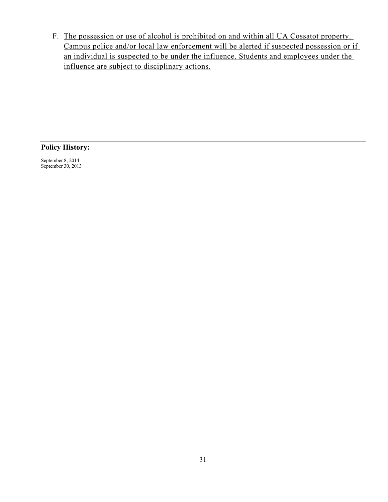F. The possession or use of alcohol is prohibited on and within all UA Cossatot property. Campus police and/or local law enforcement will be alerted if suspected possession or if an individual is suspected to be under the influence. Students and employees under the influence are subject to disciplinary actions.

#### **Policy History:**

September 8, 2014 September 30, 2013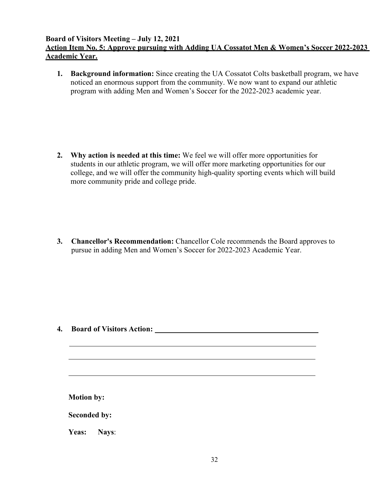#### **Board of Visitors Meeting – July 12, 2021 Action Item No. 5: Approve pursuing with Adding UA Cossatot Men & Women's Soccer 2022-2023 Academic Year.**

**1. Background information:** Since creating the UA Cossatot Colts basketball program, we have noticed an enormous support from the community. We now want to expand our athletic program with adding Men and Women's Soccer for the 2022-2023 academic year.

**2. Why action is needed at this time:** We feel we will offer more opportunities for students in our athletic program, we will offer more marketing opportunities for our college, and we will offer the community high-quality sporting events which will build more community pride and college pride.

**3. Chancellor's Recommendation:** Chancellor Cole recommends the Board approves to pursue in adding Men and Women's Soccer for 2022-2023 Academic Year.

**4. Board of Visitors Action:**

**Motion by:**

**Seconded by:**

**Yeas: Nays**: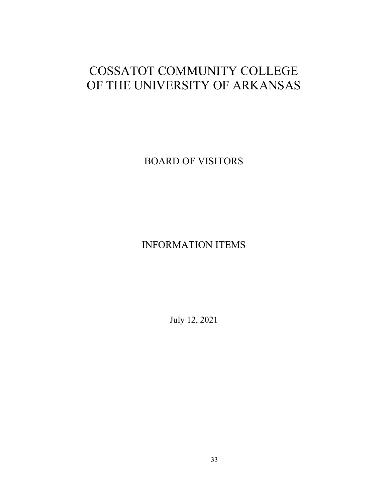BOARD OF VISITORS

### INFORMATION ITEMS

July 12, 2021